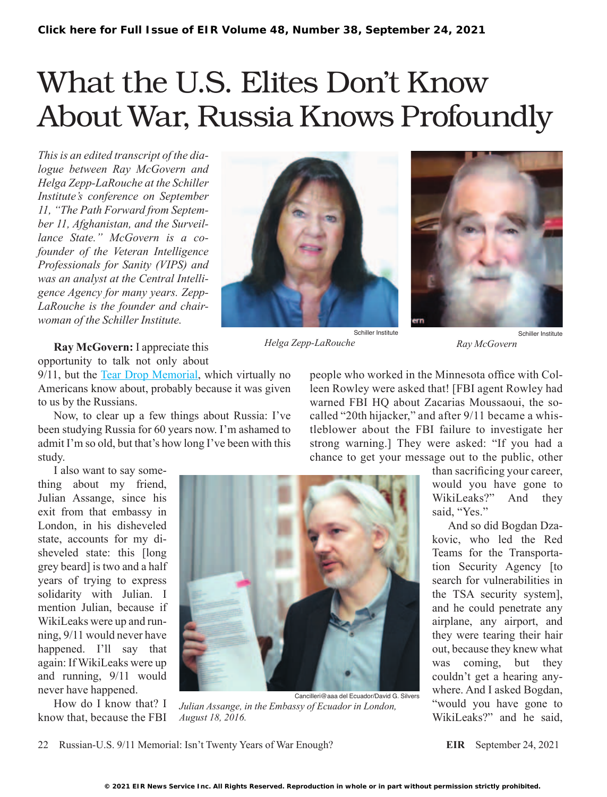## What the U.S. Elites Don't Know About War, Russia Knows Profoundly

*This is an edited transcript of the dialogue between Ray McGovern and Helga Zepp-LaRouche at the Schiller Institute's conference on September 11, "The Path Forward from September 11, Afghanistan, and the Surveillance State." McGovern is a cofounder of the Veteran Intelligence Professionals for Sanity (VIPS) and was an analyst at the Central Intelligence Agency for many years. Zepp-LaRouche is the founder and chairwoman of the Schiller Institute.*



*Helga Zepp-LaRouche*



Schiller Institute *Ray McGovern*

**Ray McGovern:** I appreciate this opportunity to talk not only about

9/11, but the [Tear Drop Memorial,](http://www.911monument.com/) which virtually no Americans know about, probably because it was given to us by the Russians.

Now, to clear up a few things about Russia: I've been studying Russia for 60 years now. I'm ashamed to admit I'm so old, but that's how long I've been with this study.

I also want to say something about my friend, Julian Assange, since his exit from that embassy in London, in his disheveled state, accounts for my disheveled state: this [long grey beard] is two and a half years of trying to express solidarity with Julian. I mention Julian, because if WikiLeaks were up and running, 9/11 would never have happened. I'll say that again: If WikiLeaks were up and running, 9/11 would never have happened.

How do I know that? I know that, because the FBI



*Julian Assange, in the Embassy of Ecuador in London, August 18, 2016.*

people who worked in the Minnesota office with Colleen Rowley were asked that! [FBI agent Rowley had warned FBI HQ about Zacarias Moussaoui, the socalled "20th hijacker," and after 9/11 became a whistleblower about the FBI failure to investigate her strong warning.] They were asked: "If you had a chance to get your message out to the public, other

Schiller Institute

than sacrificing your career, would you have gone to WikiLeaks?" And they said, "Yes."

And so did Bogdan Dzakovic, who led the Red Teams for the Transportation Security Agency [to search for vulnerabilities in the TSA security system], and he could penetrate any airplane, any airport, and they were tearing their hair out, because they knew what was coming, but they couldn't get a hearing anywhere. And I asked Bogdan, "would you have gone to WikiLeaks?" and he said,

22 Russian-U.S. 9/11 Memorial: Isn't Twenty Years of War Enough? **EIR** September 24, 2021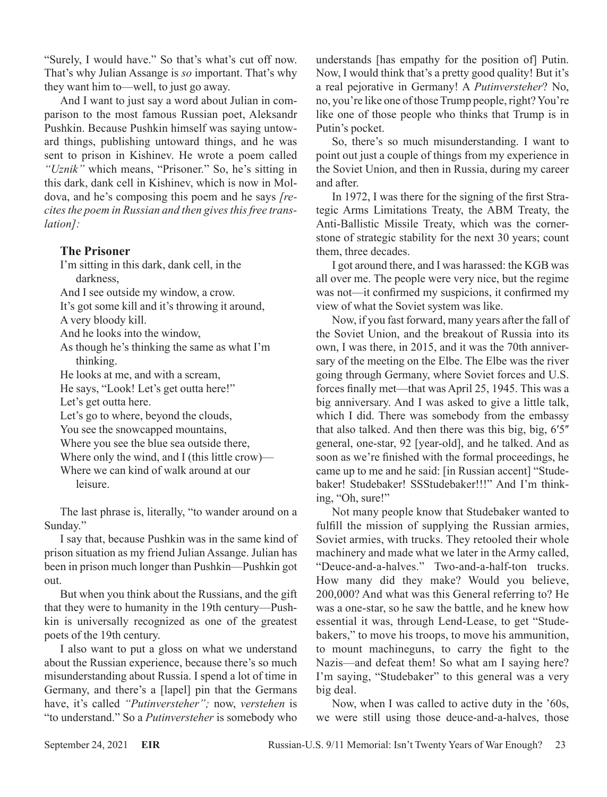"Surely, I would have." So that's what's cut off now. That's why Julian Assange is *so* important. That's why they want him to—well, to just go away.

And I want to just say a word about Julian in comparison to the most famous Russian poet, Aleksandr Pushkin. Because Pushkin himself was saying untoward things, publishing untoward things, and he was sent to prison in Kishinev. He wrote a poem called *"Uznik"* which means, "Prisoner." So, he's sitting in this dark, dank cell in Kishinev, which is now in Moldova, and he's composing this poem and he says *[recites the poem in Russian and then gives this free translation]:*

## **The Prisoner**

I'm sitting in this dark, dank cell, in the darkness,

And I see outside my window, a crow.

It's got some kill and it's throwing it around,

A very bloody kill.

And he looks into the window,

As though he's thinking the same as what I'm thinking.

He looks at me, and with a scream,

He says, "Look! Let's get outta here!"

Let's get outta here.

Let's go to where, beyond the clouds,

You see the snowcapped mountains,

Where you see the blue sea outside there,

Where only the wind, and I (this little crow)—

Where we can kind of walk around at our leisure.

The last phrase is, literally, "to wander around on a Sunday."

I say that, because Pushkin was in the same kind of prison situation as my friend Julian Assange. Julian has been in prison much longer than Pushkin—Pushkin got out.

But when you think about the Russians, and the gift that they were to humanity in the 19th century—Pushkin is universally recognized as one of the greatest poets of the 19th century.

I also want to put a gloss on what we understand about the Russian experience, because there's so much misunderstanding about Russia. I spend a lot of time in Germany, and there's a [lapel] pin that the Germans have, it's called *"Putinversteher";* now, *verstehen* is "to understand." So a *Putinversteher* is somebody who understands [has empathy for the position of] Putin. Now, I would think that's a pretty good quality! But it's a real pejorative in Germany! A *Putinversteher*? No, no, you're like one of those Trump people, right? You're like one of those people who thinks that Trump is in Putin's pocket.

So, there's so much misunderstanding. I want to point out just a couple of things from my experience in the Soviet Union, and then in Russia, during my career and after.

In 1972, I was there for the signing of the first Strategic Arms Limitations Treaty, the ABM Treaty, the Anti-Ballistic Missile Treaty, which was the cornerstone of strategic stability for the next 30 years; count them, three decades.

I got around there, and I was harassed: the KGB was all over me. The people were very nice, but the regime was not—it confirmed my suspicions, it confirmed my view of what the Soviet system was like.

Now, if you fast forward, many years after the fall of the Soviet Union, and the breakout of Russia into its own, I was there, in 2015, and it was the 70th anniversary of the meeting on the Elbe. The Elbe was the river going through Germany, where Soviet forces and U.S. forces finally met—that was April 25, 1945. This was a big anniversary. And I was asked to give a little talk, which I did. There was somebody from the embassy that also talked. And then there was this big, big, 6<sup>'5"</sup> general, one-star, 92 [year-old], and he talked. And as soon as we're finished with the formal proceedings, he came up to me and he said: [in Russian accent] "Studebaker! Studebaker! SSStudebaker!!!" And I'm thinking, "Oh, sure!"

Not many people know that Studebaker wanted to fulfill the mission of supplying the Russian armies, Soviet armies, with trucks. They retooled their whole machinery and made what we later in the Army called, "Deuce-and-a-halves." Two-and-a-half-ton trucks. How many did they make? Would you believe, 200,000? And what was this General referring to? He was a one-star, so he saw the battle, and he knew how essential it was, through Lend-Lease, to get "Studebakers," to move his troops, to move his ammunition, to mount machineguns, to carry the fight to the Nazis—and defeat them! So what am I saying here? I'm saying, "Studebaker" to this general was a very big deal.

Now, when I was called to active duty in the '60s, we were still using those deuce-and-a-halves, those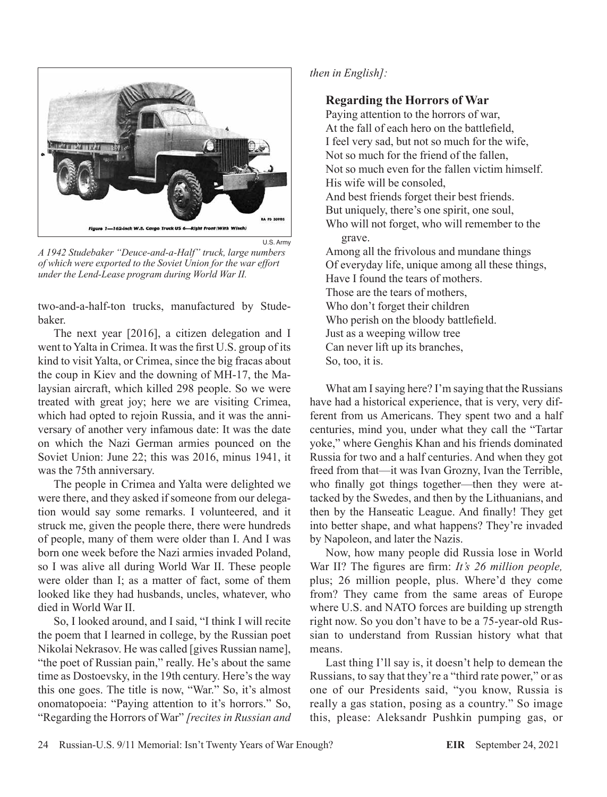

*A 1942 Studebaker "Deuce-and-a-Half" truck, large numbers of which were exported to the Soviet Union for the war effort under the Lend-Lease program during World War II.*

two-and-a-half-ton trucks, manufactured by Studebaker.

The next year [2016], a citizen delegation and I went to Yalta in Crimea. It was the first U.S. group of its kind to visit Yalta, or Crimea, since the big fracas about the coup in Kiev and the downing of MH-17, the Malaysian aircraft, which killed 298 people. So we were treated with great joy; here we are visiting Crimea, which had opted to rejoin Russia, and it was the anniversary of another very infamous date: It was the date on which the Nazi German armies pounced on the Soviet Union: June 22; this was 2016, minus 1941, it was the 75th anniversary.

The people in Crimea and Yalta were delighted we were there, and they asked if someone from our delegation would say some remarks. I volunteered, and it struck me, given the people there, there were hundreds of people, many of them were older than I. And I was born one week before the Nazi armies invaded Poland, so I was alive all during World War II. These people were older than I; as a matter of fact, some of them looked like they had husbands, uncles, whatever, who died in World War II.

So, I looked around, and I said, "I think I will recite the poem that I learned in college, by the Russian poet Nikolai Nekrasov. He was called [gives Russian name], "the poet of Russian pain," really. He's about the same time as Dostoevsky, in the 19th century. Here's the way this one goes. The title is now, "War." So, it's almost onomatopoeia: "Paying attention to it's horrors." So, "Regarding the Horrors of War" *[recites in Russian and* 

## *then in English]:*

## **Regarding the Horrors of War**

Paying attention to the horrors of war, At the fall of each hero on the battlefield, I feel very sad, but not so much for the wife, Not so much for the friend of the fallen, Not so much even for the fallen victim himself. His wife will be consoled, And best friends forget their best friends. But uniquely, there's one spirit, one soul, Who will not forget, who will remember to the grave. Among all the frivolous and mundane things Of everyday life, unique among all these things, Have I found the tears of mothers. Those are the tears of mothers, Who don't forget their children Who perish on the bloody battlefield. Just as a weeping willow tree Can never lift up its branches,

So, too, it is. What am I saying here? I'm saying that the Russians have had a historical experience, that is very, very different from us Americans. They spent two and a half

centuries, mind you, under what they call the "Tartar yoke," where Genghis Khan and his friends dominated Russia for two and a half centuries. And when they got freed from that—it was Ivan Grozny, Ivan the Terrible, who finally got things together—then they were attacked by the Swedes, and then by the Lithuanians, and then by the Hanseatic League. And finally! They get into better shape, and what happens? They're invaded by Napoleon, and later the Nazis.

Now, how many people did Russia lose in World War II? The figures are firm: *It's 26 million people,* plus; 26 million people, plus. Where'd they come from? They came from the same areas of Europe where U.S. and NATO forces are building up strength right now. So you don't have to be a 75-year-old Russian to understand from Russian history what that means.

Last thing I'll say is, it doesn't help to demean the Russians, to say that they're a "third rate power," or as one of our Presidents said, "you know, Russia is really a gas station, posing as a country." So image this, please: Aleksandr Pushkin pumping gas, or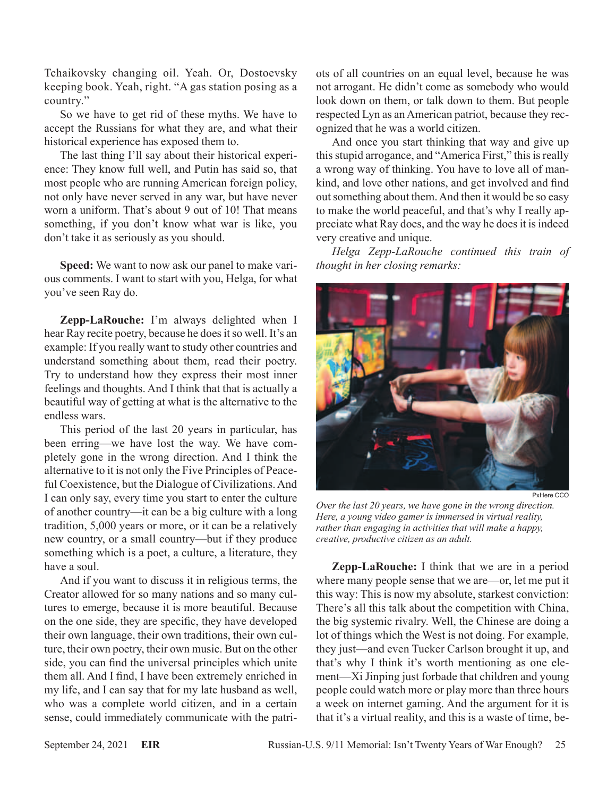Tchaikovsky changing oil. Yeah. Or, Dostoevsky keeping book. Yeah, right. "A gas station posing as a country."

So we have to get rid of these myths. We have to accept the Russians for what they are, and what their historical experience has exposed them to.

The last thing I'll say about their historical experience: They know full well, and Putin has said so, that most people who are running American foreign policy, not only have never served in any war, but have never worn a uniform. That's about 9 out of 10! That means something, if you don't know what war is like, you don't take it as seriously as you should.

**Speed:** We want to now ask our panel to make various comments. I want to start with you, Helga, for what you've seen Ray do.

**Zepp-LaRouche:** I'm always delighted when I hear Ray recite poetry, because he does it so well. It's an example: If you really want to study other countries and understand something about them, read their poetry. Try to understand how they express their most inner feelings and thoughts. And I think that that is actually a beautiful way of getting at what is the alternative to the endless wars.

This period of the last 20 years in particular, has been erring—we have lost the way. We have completely gone in the wrong direction. And I think the alternative to it is not only the Five Principles of Peaceful Coexistence, but the Dialogue of Civilizations. And I can only say, every time you start to enter the culture of another country—it can be a big culture with a long tradition, 5,000 years or more, or it can be a relatively new country, or a small country—but if they produce something which is a poet, a culture, a literature, they have a soul.

And if you want to discuss it in religious terms, the Creator allowed for so many nations and so many cultures to emerge, because it is more beautiful. Because on the one side, they are specific, they have developed their own language, their own traditions, their own culture, their own poetry, their own music. But on the other side, you can find the universal principles which unite them all. And I find, I have been extremely enriched in my life, and I can say that for my late husband as well, who was a complete world citizen, and in a certain sense, could immediately communicate with the patriots of all countries on an equal level, because he was not arrogant. He didn't come as somebody who would look down on them, or talk down to them. But people respected Lyn as an American patriot, because they recognized that he was a world citizen.

And once you start thinking that way and give up this stupid arrogance, and "America First," this is really a wrong way of thinking. You have to love all of mankind, and love other nations, and get involved and find out something about them. And then it would be so easy to make the world peaceful, and that's why I really appreciate what Ray does, and the way he does it is indeed very creative and unique.

*Helga Zepp-LaRouche continued this train of thought in her closing remarks:*



*Over the last 20 years, we have gone in the wrong direction. Here, a young video gamer is immersed in virtual reality, rather than engaging in activities that will make a happy, creative, productive citizen as an adult.*

**Zepp-LaRouche:** I think that we are in a period where many people sense that we are—or, let me put it this way: This is now my absolute, starkest conviction: There's all this talk about the competition with China, the big systemic rivalry. Well, the Chinese are doing a lot of things which the West is not doing. For example, they just—and even Tucker Carlson brought it up, and that's why I think it's worth mentioning as one element—Xi Jinping just forbade that children and young people could watch more or play more than three hours a week on internet gaming. And the argument for it is that it's a virtual reality, and this is a waste of time, be-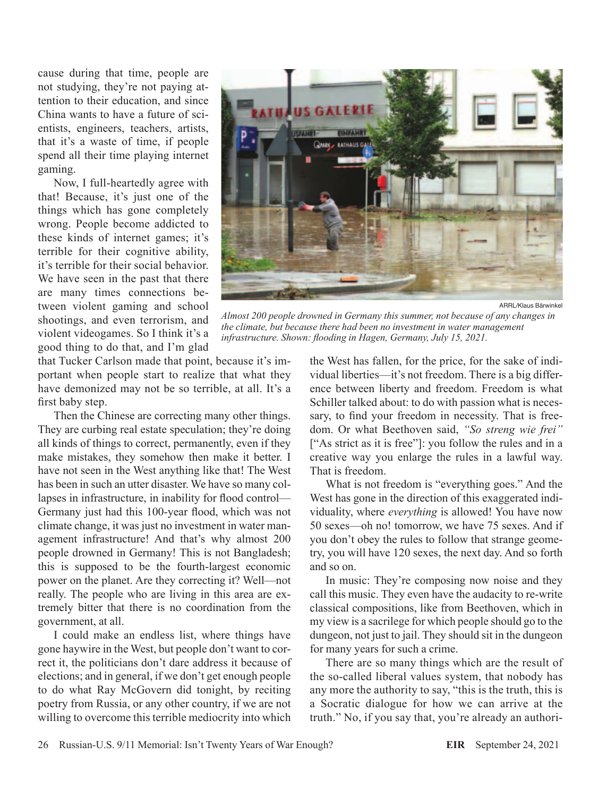cause during that time, people are not studying, they're not paying attention to their education, and since China wants to have a future of scientists, engineers, teachers, artists, that it's a waste of time, if people spend all their time playing internet gaming.

Now, I full-heartedly agree with that! Because, it's just one of the things which has gone completely wrong. People become addicted to these kinds of internet games; it's terrible for their cognitive ability, it's terrible for their social behavior. We have seen in the past that there are many times connections between violent gaming and school shootings, and even terrorism, and violent videogames. So I think it's a good thing to do that, and I'm glad



ARRL/Klaus Bärwinkel

*Almost 200 people drowned in Germany this summer, not because of any changes in the climate, but because there had been no investment in water management infrastructure. Shown: flooding in Hagen, Germany, July 15, 2021.*

that Tucker Carlson made that point, because it's important when people start to realize that what they have demonized may not be so terrible, at all. It's a first baby step.

Then the Chinese are correcting many other things. They are curbing real estate speculation; they're doing all kinds of things to correct, permanently, even if they make mistakes, they somehow then make it better. I have not seen in the West anything like that! The West has been in such an utter disaster. We have so many collapses in infrastructure, in inability for flood control— Germany just had this 100-year flood, which was not climate change, it was just no investment in water management infrastructure! And that's why almost 200 people drowned in Germany! This is not Bangladesh; this is supposed to be the fourth-largest economic power on the planet. Are they correcting it? Well—not really. The people who are living in this area are extremely bitter that there is no coordination from the government, at all.

I could make an endless list, where things have gone haywire in the West, but people don't want to correct it, the politicians don't dare address it because of elections; and in general, if we don't get enough people to do what Ray McGovern did tonight, by reciting poetry from Russia, or any other country, if we are not willing to overcome this terrible mediocrity into which

the West has fallen, for the price, for the sake of individual liberties—it's not freedom. There is a big difference between liberty and freedom. Freedom is what Schiller talked about: to do with passion what is necessary, to find your freedom in necessity. That is freedom. Or what Beethoven said, *"So streng wie frei"* ["As strict as it is free"]: you follow the rules and in a creative way you enlarge the rules in a lawful way. That is freedom.

What is not freedom is "everything goes." And the West has gone in the direction of this exaggerated individuality, where *everything* is allowed! You have now 50 sexes—oh no! tomorrow, we have 75 sexes. And if you don't obey the rules to follow that strange geometry, you will have 120 sexes, the next day. And so forth and so on.

In music: They're composing now noise and they call this music. They even have the audacity to re-write classical compositions, like from Beethoven, which in my view is a sacrilege for which people should go to the dungeon, not just to jail. They should sit in the dungeon for many years for such a crime.

There are so many things which are the result of the so-called liberal values system, that nobody has any more the authority to say, "this is the truth, this is a Socratic dialogue for how we can arrive at the truth." No, if you say that, you're already an authori